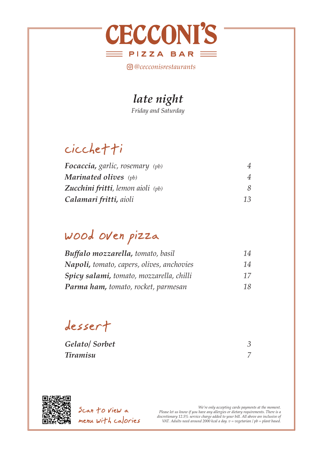

*@cecconisrestaurants*

### *late night*

*Friday and Saturday* 

## cicchetti

| <b>Focaccia, garlic, rosemary</b> (pb)     |    |
|--------------------------------------------|----|
| <b>Marinated olives</b> (pb)               |    |
| <b>Zucchini fritti, lemon aioli</b> $(pb)$ |    |
| Calamari fritti, aioli                     | 13 |

## wood oven pizza

| Buffalo mozzarella, tomato, basil          | 14 |
|--------------------------------------------|----|
| Napoli, tomato, capers, olives, anchovies  | 14 |
| Spicy salami, tomato, mozzarella, chilli   | 17 |
| <b>Parma ham, tomato, rocket, parmesan</b> | 18 |

dessert

*Gelato/ Sorbet 3 Tiramisu 7*



Scan to view a menu with calories

.We're only accepting cards payments at the moment<br>Please let us know if you have any allergies or dietary requirements. There is a<br>discretionary 12.5% service charge added to your bill. All above are inclusive of *VAT. Adults need around 2000 kcal a day. v = vegetarian / pb = plant based.*